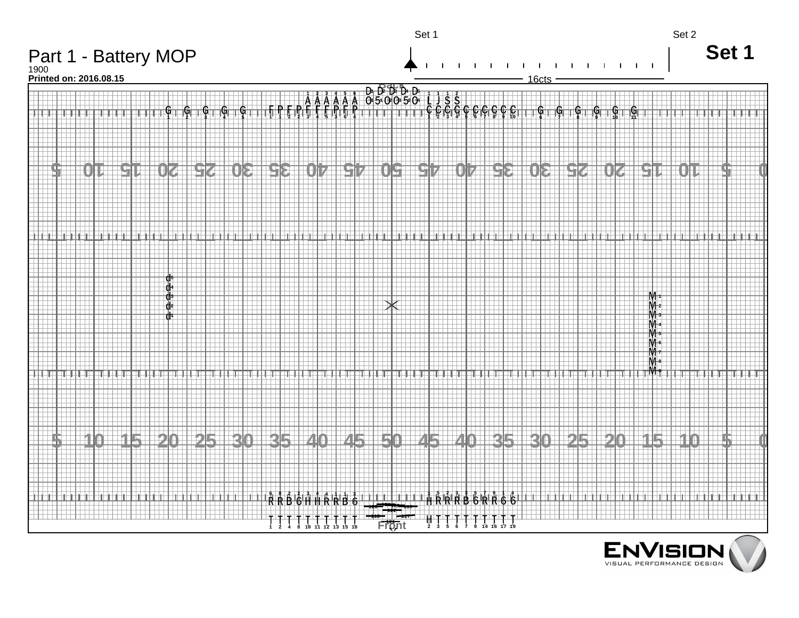

 $\sum_{\forall I \subseteq S}$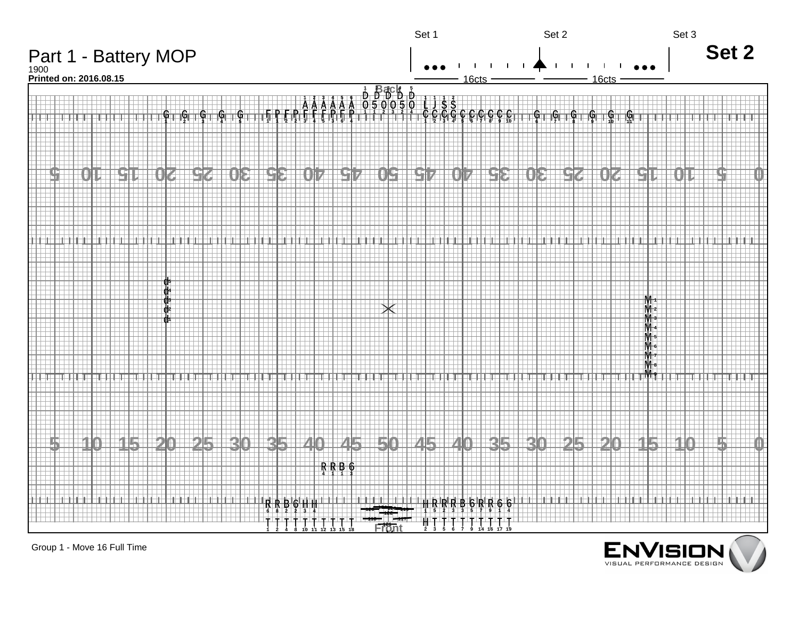

Group 1 - Move 16 Full Time

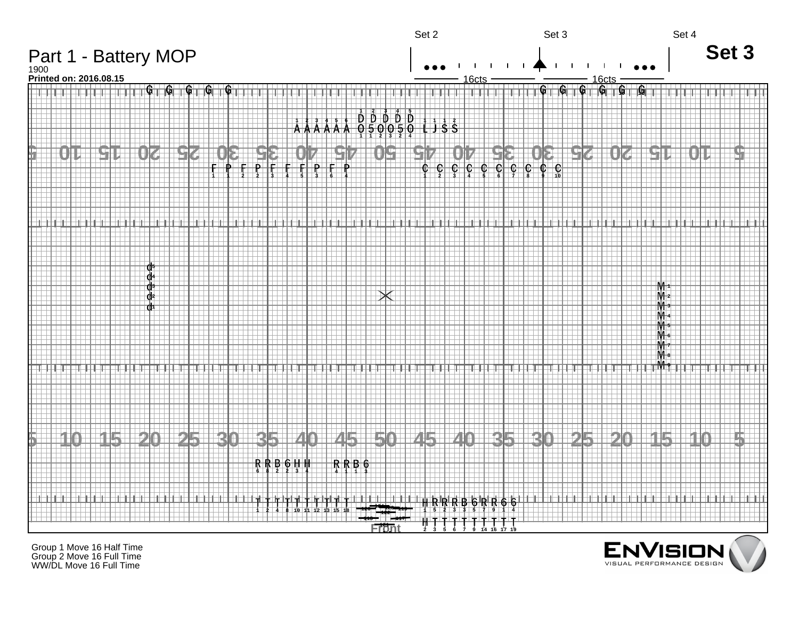

Group 1 Move 16 Half Time Group 2 Move 16 Full Time WW/DL Move 16 Full Time

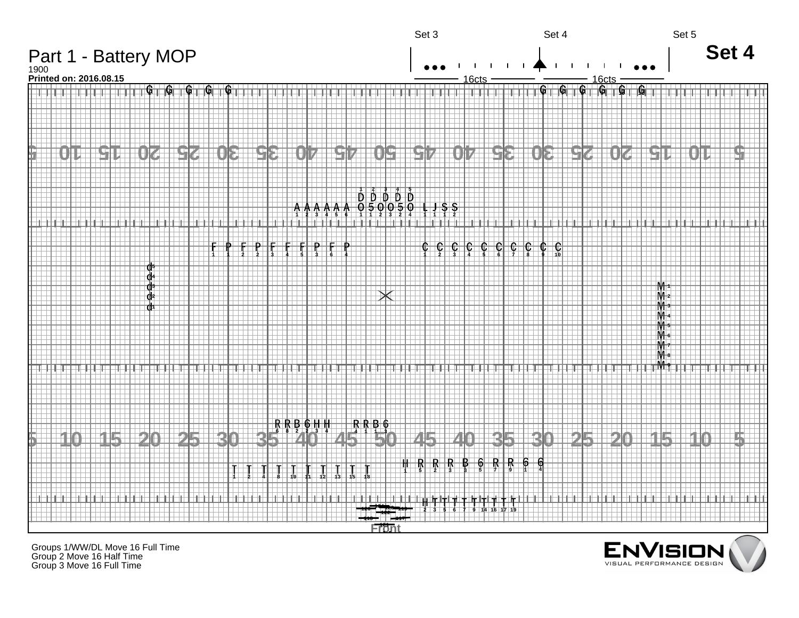

Groups 1/WW/DL Move 16 Full Time Group 2 Move 16 Half Time Group 3 Move 16 Full Time

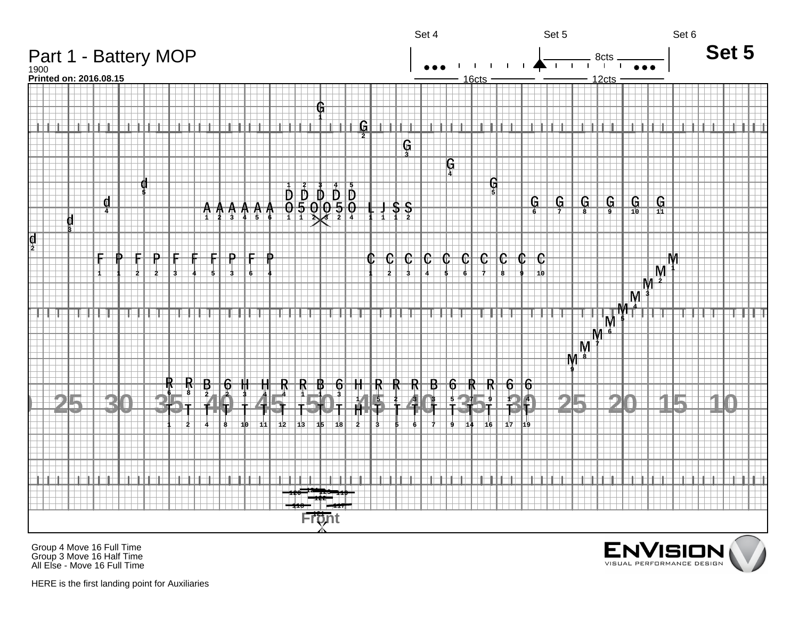

Group 4 Move 16 Full Time Group 3 Move 16 Half Time All Else - Move 16 Full Time



HERE is the first landing point for Auxiliaries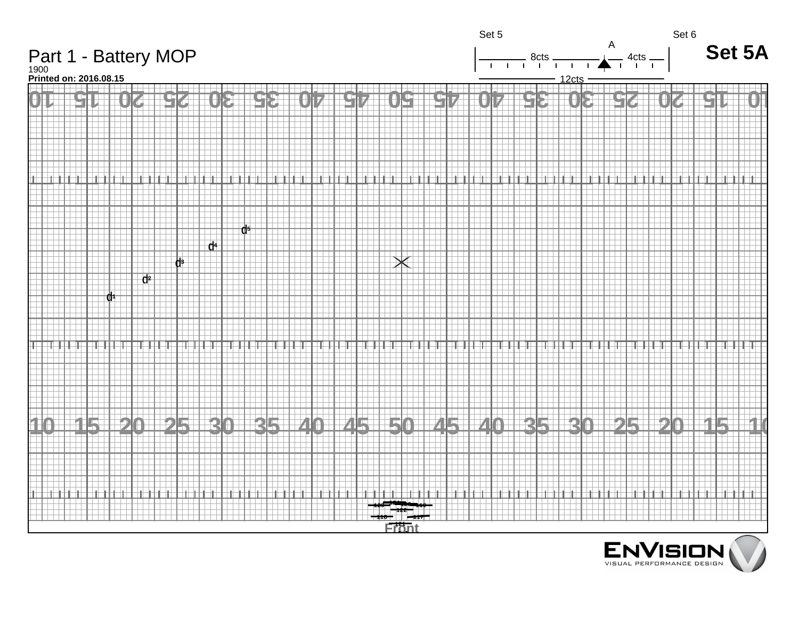

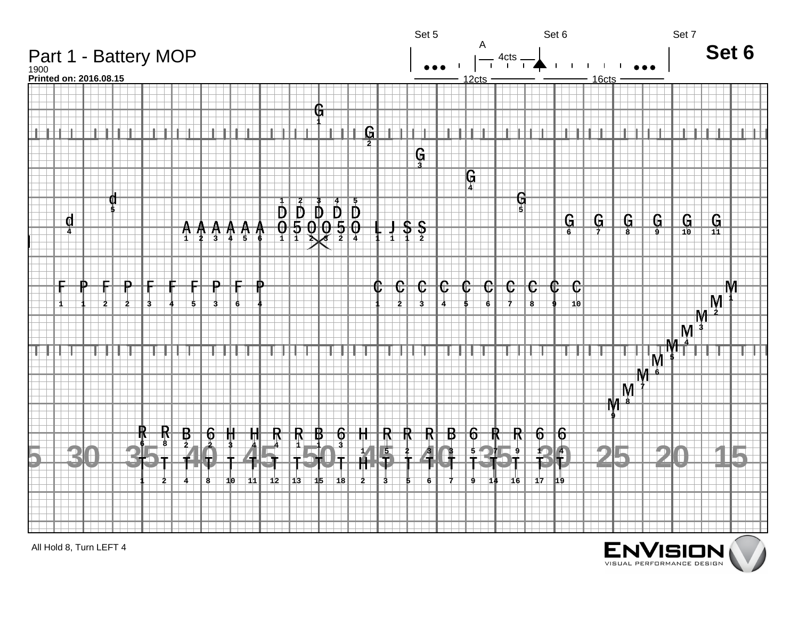

All Hold 8, Turn LEFT 4

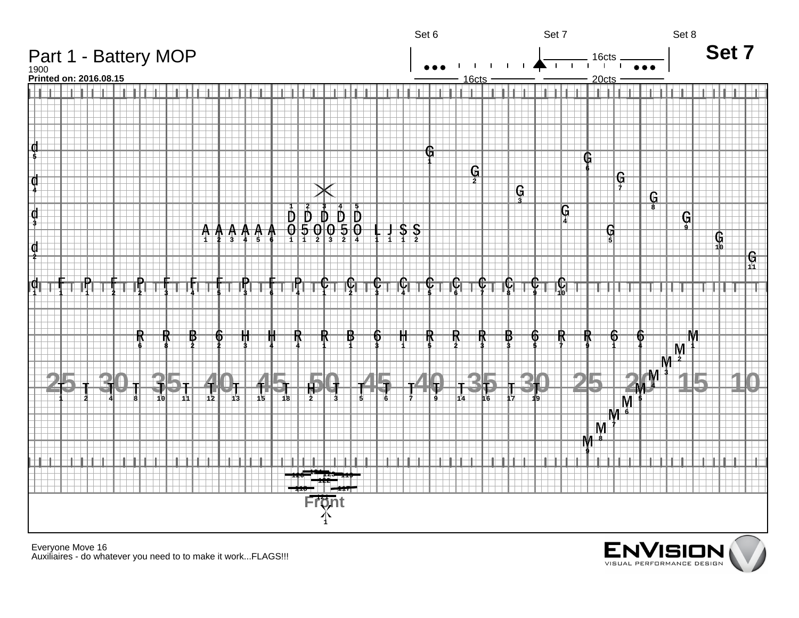

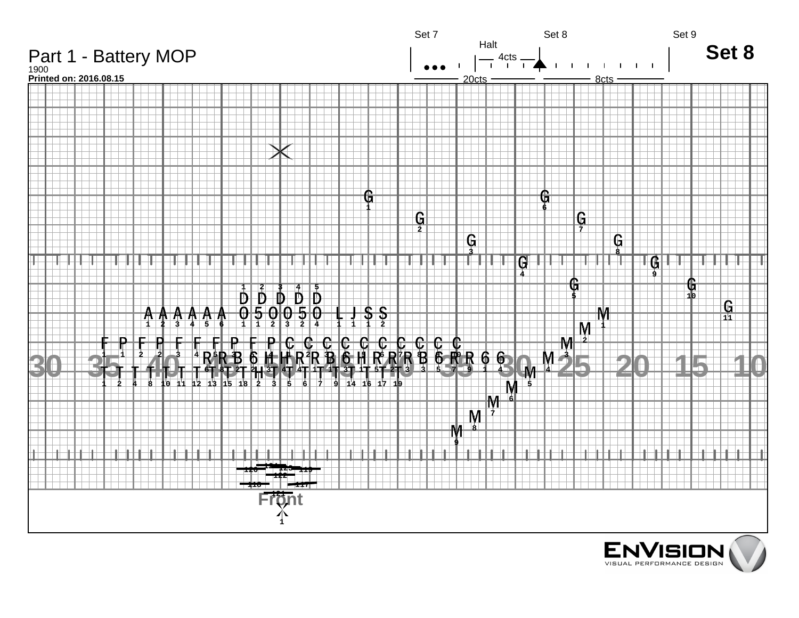

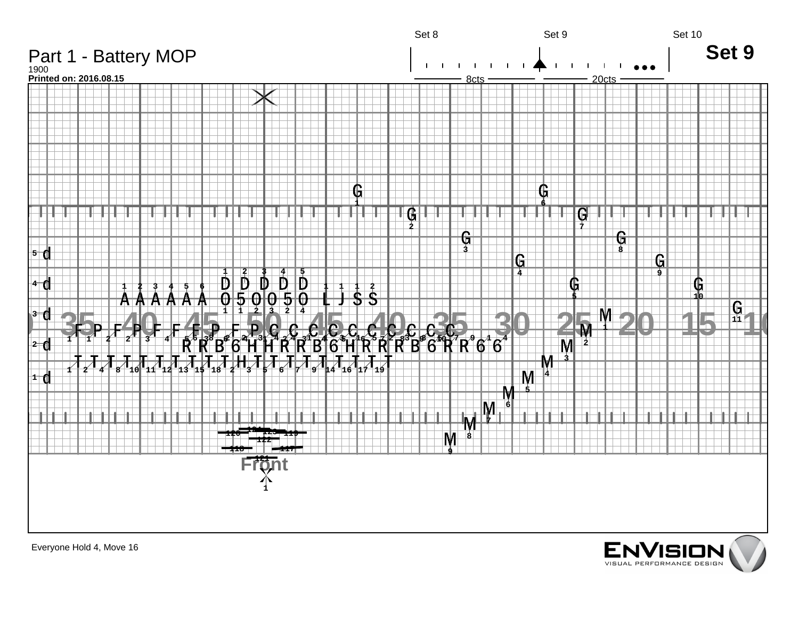

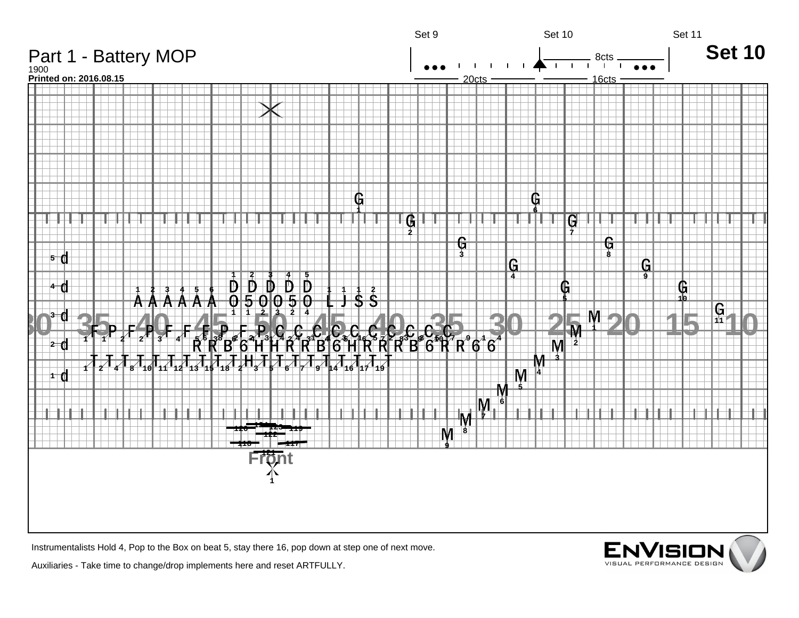

Instrumentalists Hold 4, Pop to the Box on beat 5, stay there 16, pop down at step one of next move.

Auxiliaries - Take time to change/drop implements here and reset ARTFULLY.

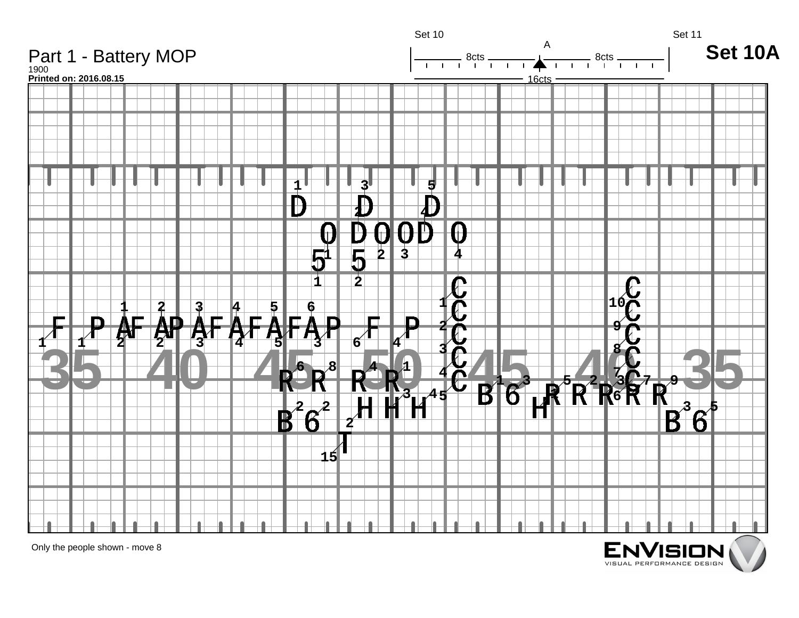

Only the people shown - move 8

E<br><sub>VIS</sub>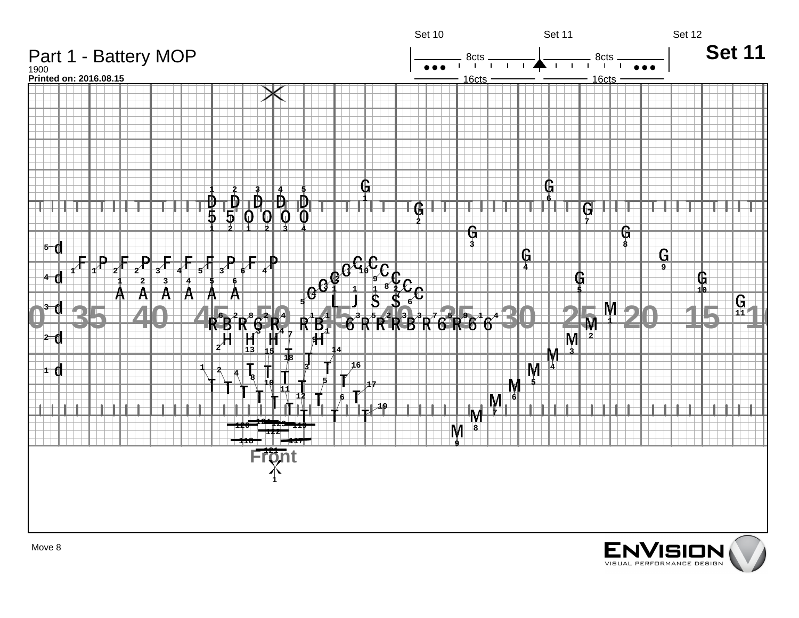

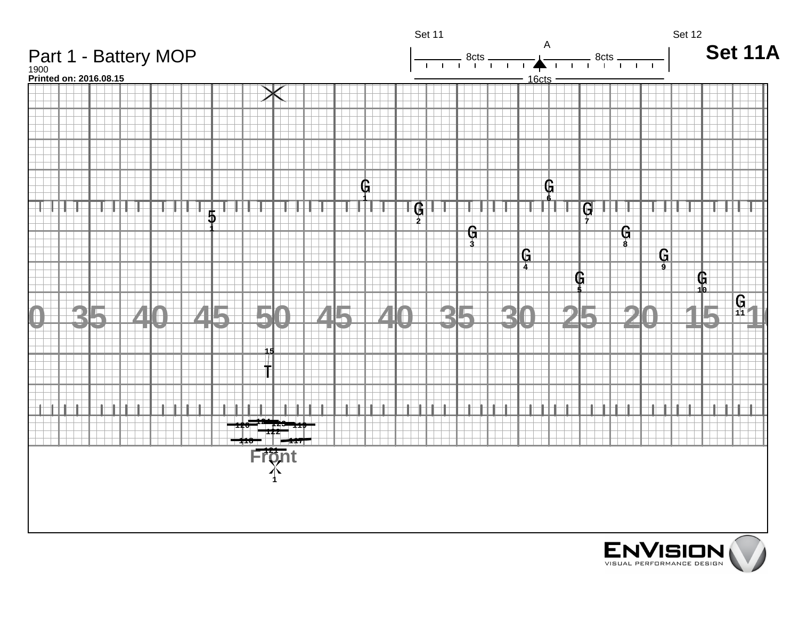

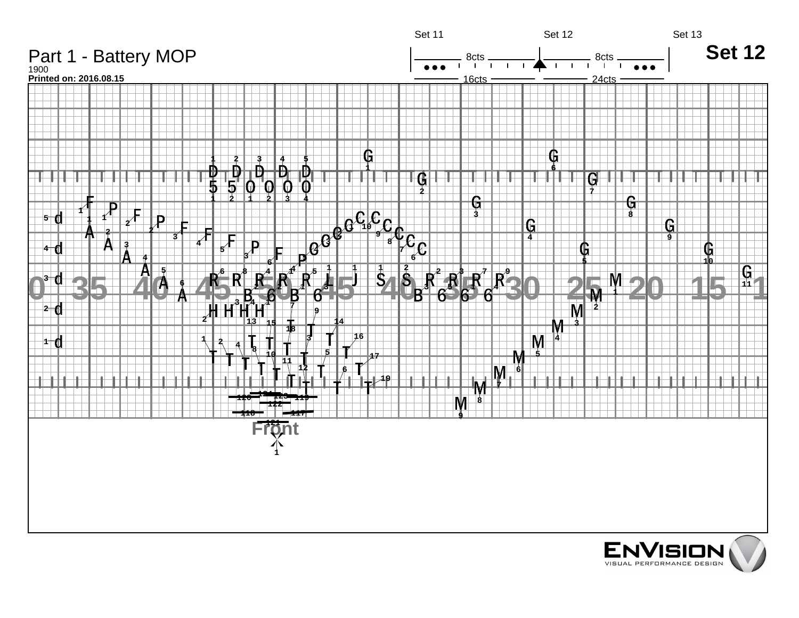

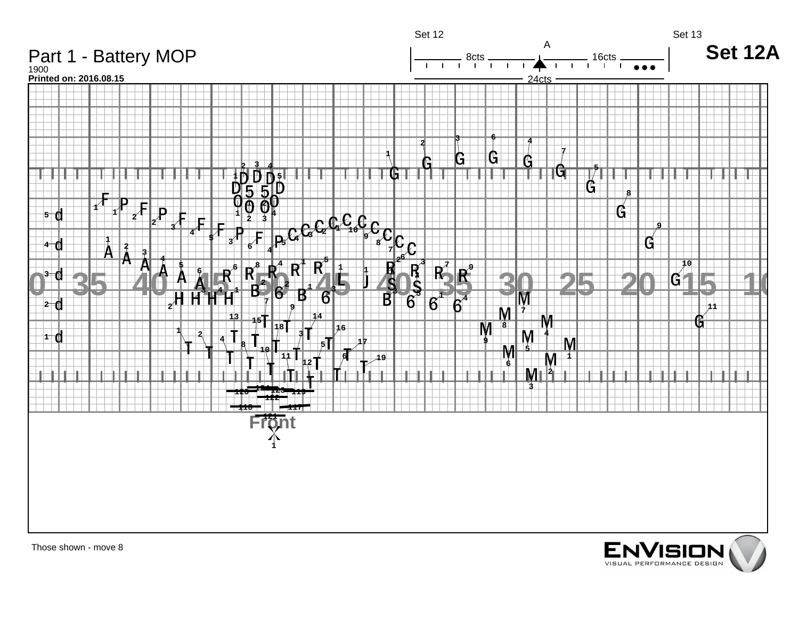

Those shown - move 8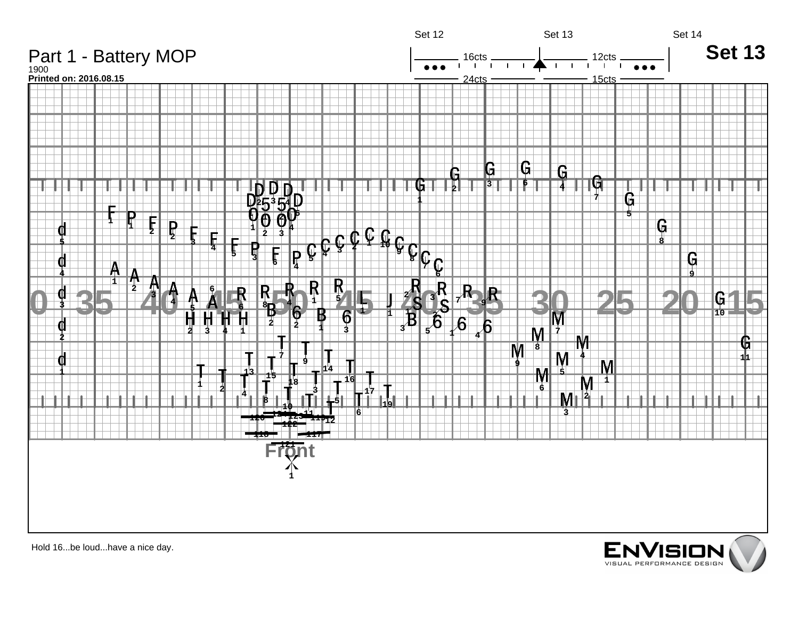



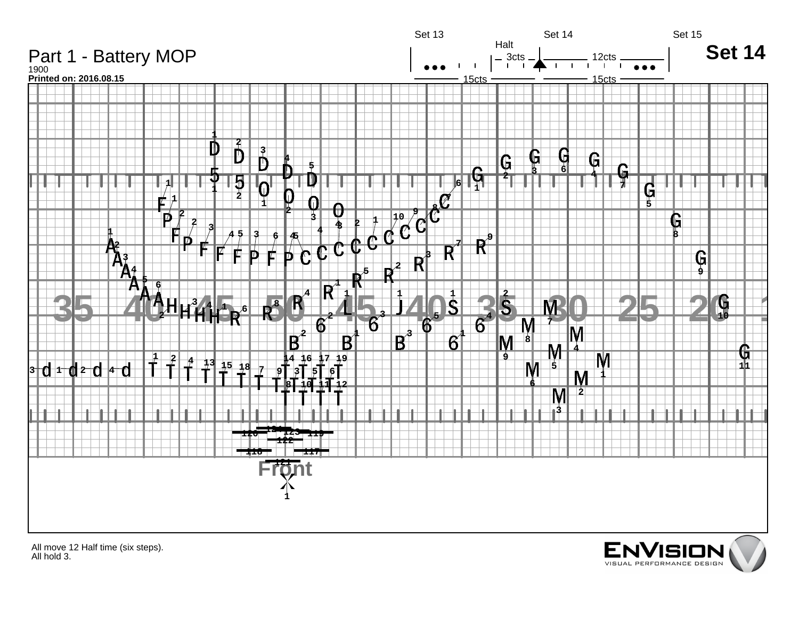

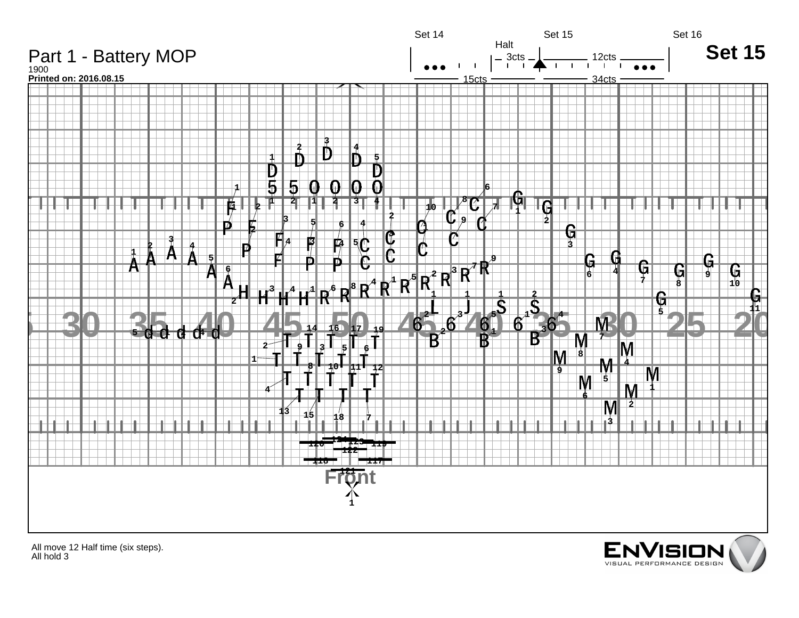

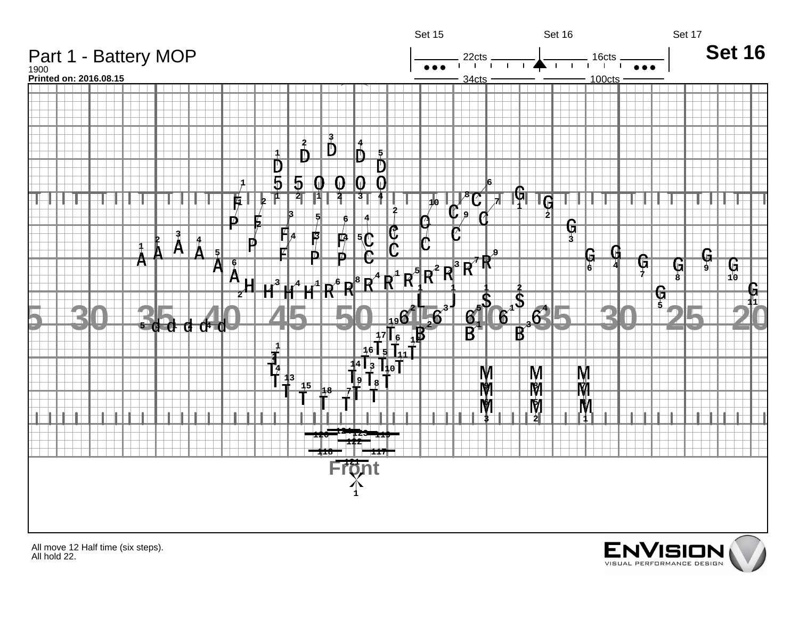

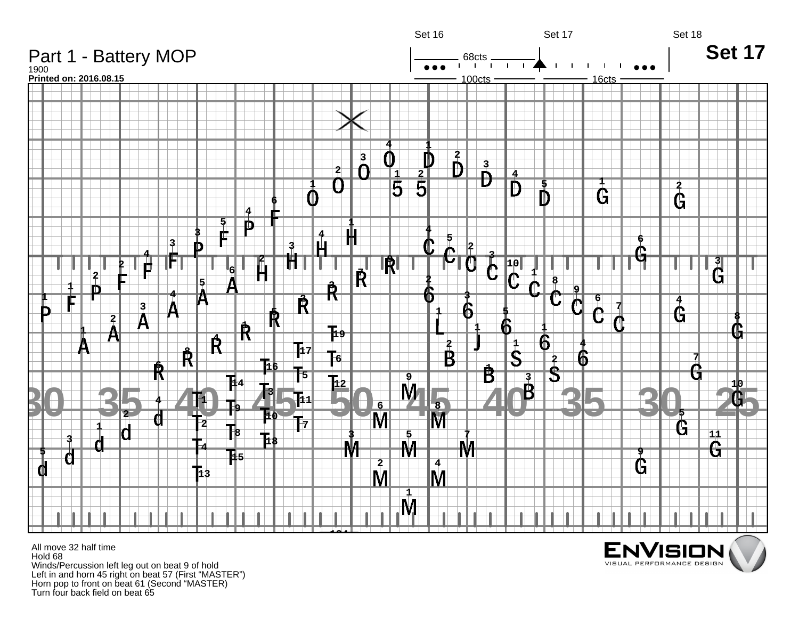

All move 32 half time Hold 68 Winds/Percussion left leg out on beat 9 of hold Left in and horn 45 right on beat 57 (First "MASTER") Horn pop to front on beat 61 (Second "MASTER) Turn four back field on beat 65

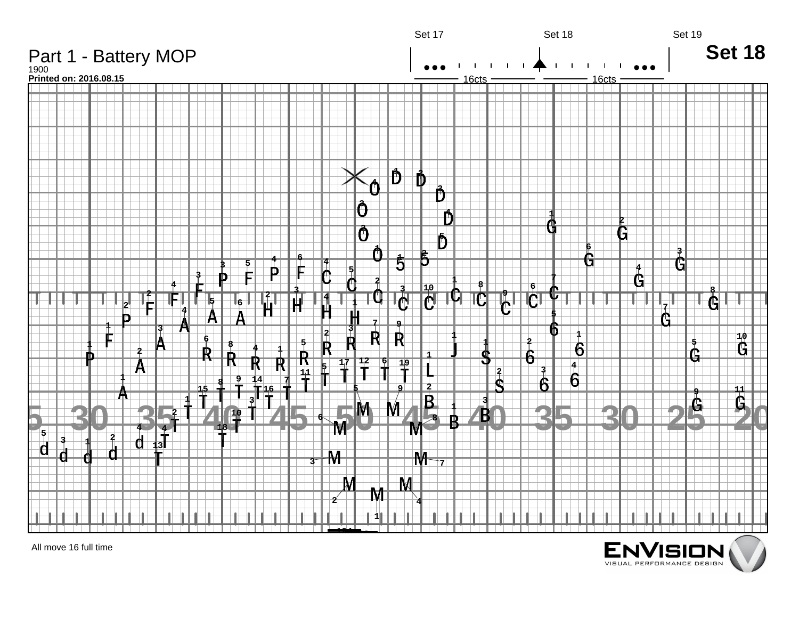

All move 16 full time

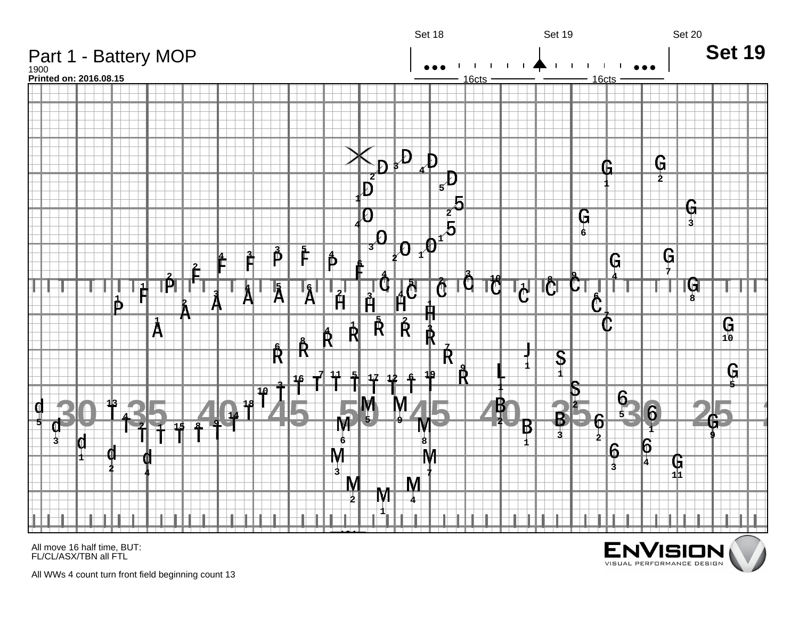

All move 16 half time, BUT: FL/CL/ASX/TBN all FTL

All WWs 4 count turn front field beginning count 13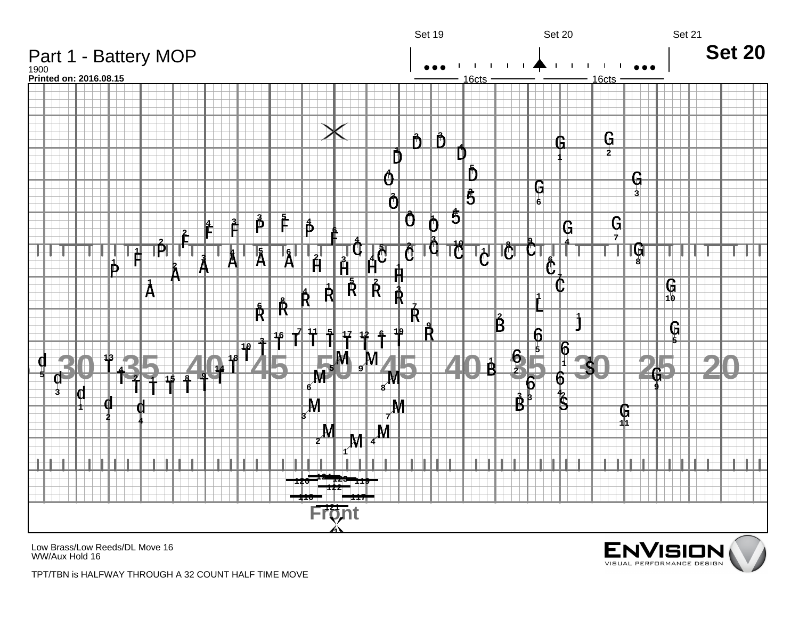

Low Brass/Low Reeds/DL Move 16 WW/Aux Hold 16



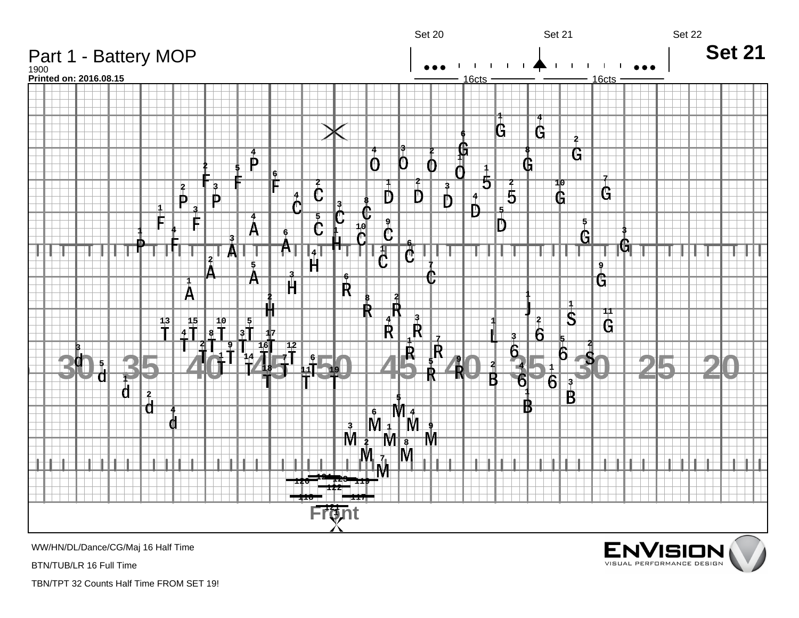

WW/HN/DL/Dance/CG/Maj 16 Half Time

BTN/TUB/LR 16 Full Time

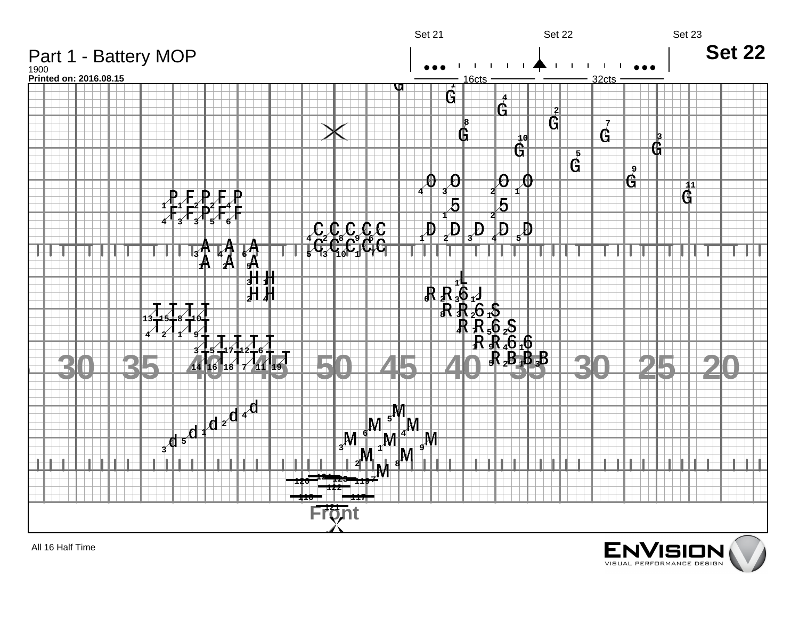

All 16 Half Time

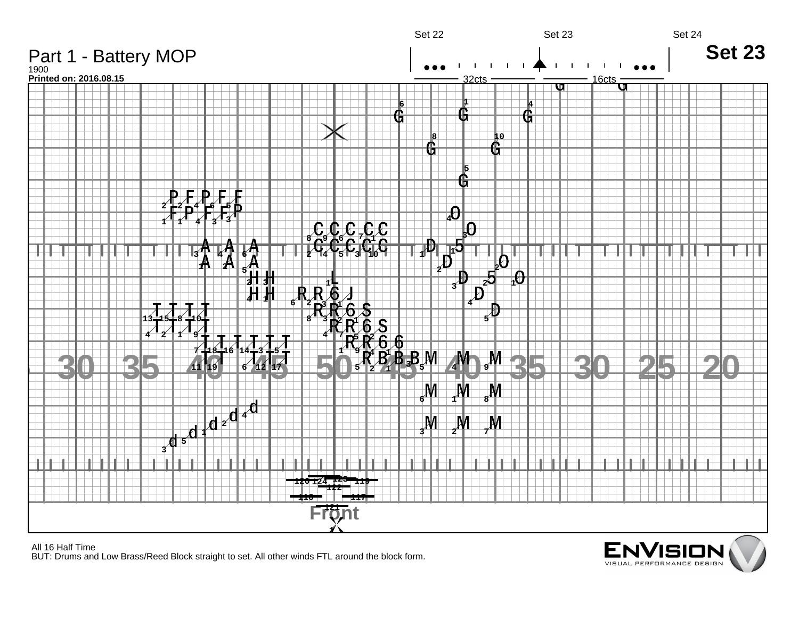

All 16 Half Time BUT: Drums and Low Brass/Reed Block straight to set. All other winds FTL around the block form.

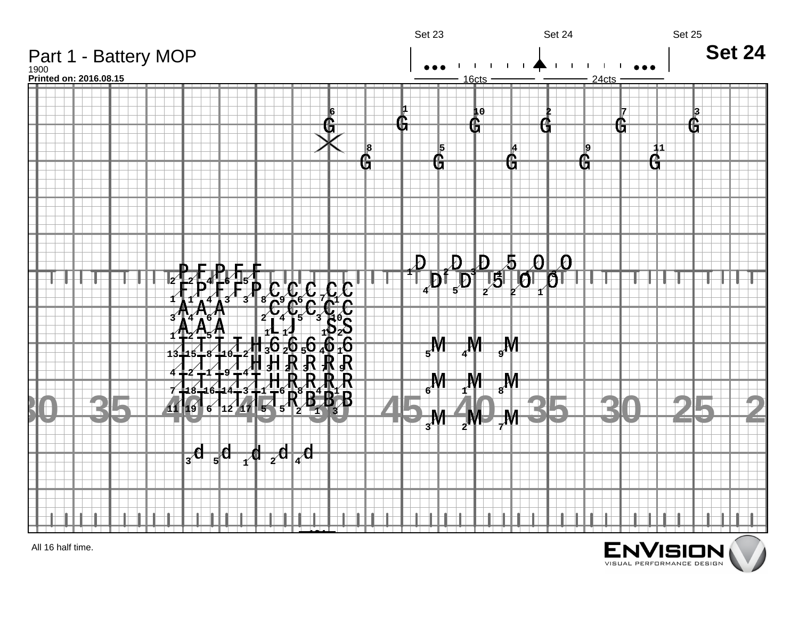

All 16 half time.

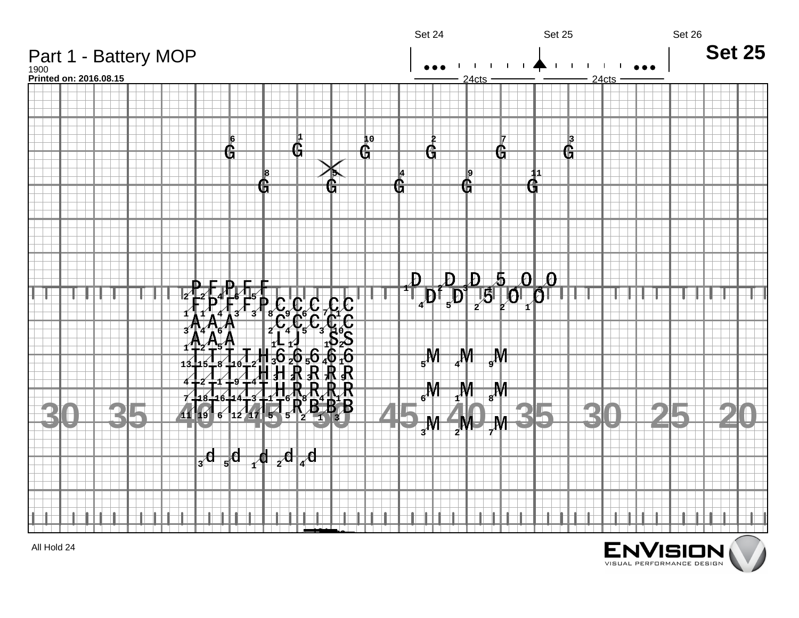

All Hold 24

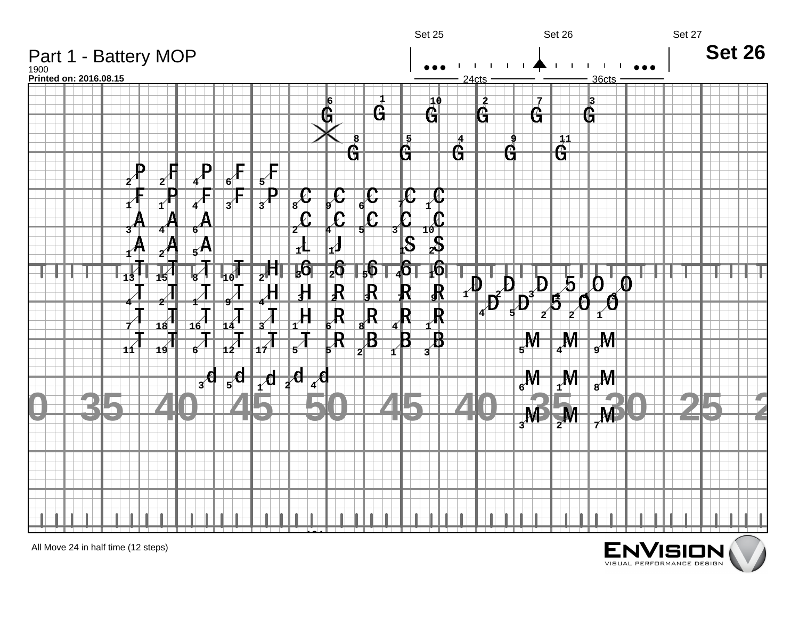

All Move 24 in half time (12 steps)

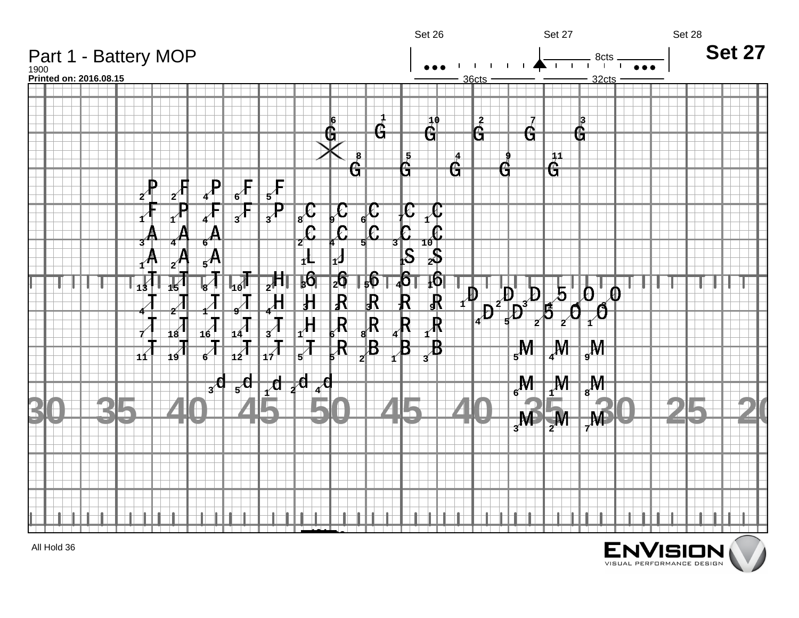

All Hold 36